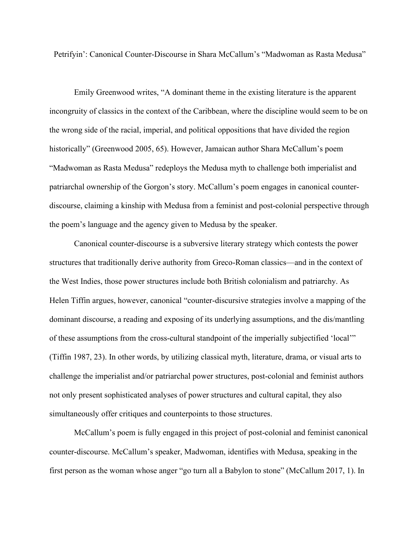Petrifyin': Canonical Counter-Discourse in Shara McCallum's "Madwoman as Rasta Medusa"

Emily Greenwood writes, "A dominant theme in the existing literature is the apparent incongruity of classics in the context of the Caribbean, where the discipline would seem to be on the wrong side of the racial, imperial, and political oppositions that have divided the region historically" (Greenwood 2005, 65). However, Jamaican author Shara McCallum's poem "Madwoman as Rasta Medusa" redeploys the Medusa myth to challenge both imperialist and patriarchal ownership of the Gorgon's story. McCallum's poem engages in canonical counterdiscourse, claiming a kinship with Medusa from a feminist and post-colonial perspective through the poem's language and the agency given to Medusa by the speaker.

Canonical counter-discourse is a subversive literary strategy which contests the power structures that traditionally derive authority from Greco-Roman classics—and in the context of the West Indies, those power structures include both British colonialism and patriarchy. As Helen Tiffin argues, however, canonical "counter-discursive strategies involve a mapping of the dominant discourse, a reading and exposing of its underlying assumptions, and the dis/mantling of these assumptions from the cross-cultural standpoint of the imperially subjectified 'local'" (Tiffin 1987, 23). In other words, by utilizing classical myth, literature, drama, or visual arts to challenge the imperialist and/or patriarchal power structures, post-colonial and feminist authors not only present sophisticated analyses of power structures and cultural capital, they also simultaneously offer critiques and counterpoints to those structures.

McCallum's poem is fully engaged in this project of post-colonial and feminist canonical counter-discourse. McCallum's speaker, Madwoman, identifies with Medusa, speaking in the first person as the woman whose anger "go turn all a Babylon to stone" (McCallum 2017, 1). In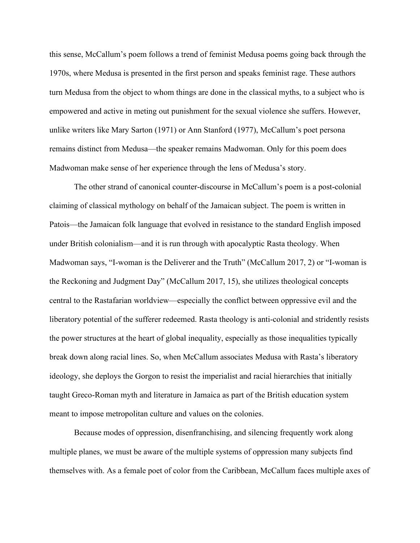this sense, McCallum's poem follows a trend of feminist Medusa poems going back through the 1970s, where Medusa is presented in the first person and speaks feminist rage. These authors turn Medusa from the object to whom things are done in the classical myths, to a subject who is empowered and active in meting out punishment for the sexual violence she suffers. However, unlike writers like Mary Sarton (1971) or Ann Stanford (1977), McCallum's poet persona remains distinct from Medusa—the speaker remains Madwoman. Only for this poem does Madwoman make sense of her experience through the lens of Medusa's story.

The other strand of canonical counter-discourse in McCallum's poem is a post-colonial claiming of classical mythology on behalf of the Jamaican subject. The poem is written in Patois—the Jamaican folk language that evolved in resistance to the standard English imposed under British colonialism—and it is run through with apocalyptic Rasta theology. When Madwoman says, "I-woman is the Deliverer and the Truth" (McCallum 2017, 2) or "I-woman is the Reckoning and Judgment Day" (McCallum 2017, 15), she utilizes theological concepts central to the Rastafarian worldview—especially the conflict between oppressive evil and the liberatory potential of the sufferer redeemed. Rasta theology is anti-colonial and stridently resists the power structures at the heart of global inequality, especially as those inequalities typically break down along racial lines. So, when McCallum associates Medusa with Rasta's liberatory ideology, she deploys the Gorgon to resist the imperialist and racial hierarchies that initially taught Greco-Roman myth and literature in Jamaica as part of the British education system meant to impose metropolitan culture and values on the colonies.

Because modes of oppression, disenfranchising, and silencing frequently work along multiple planes, we must be aware of the multiple systems of oppression many subjects find themselves with. As a female poet of color from the Caribbean, McCallum faces multiple axes of